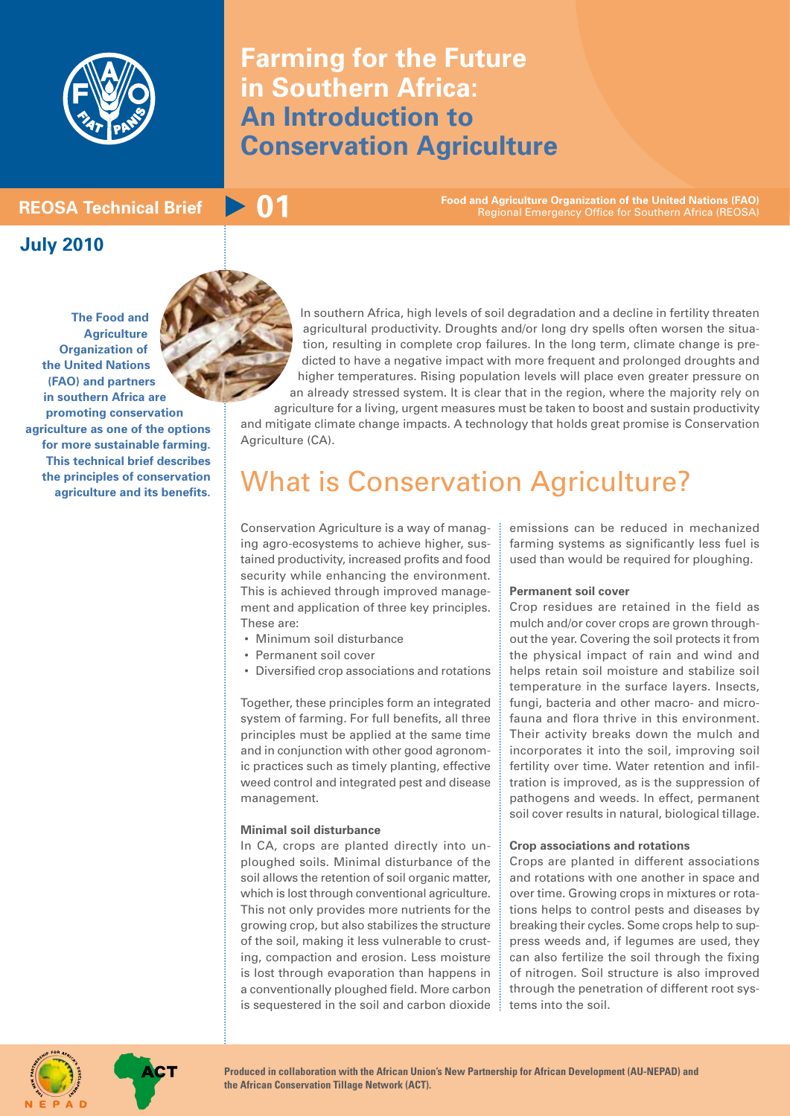

# **Farming for the Future in Southern Africa: An Introduction to Conservation Agriculture**

**Food and Agriculture Organization of the United Nations (FAO)** Food **and Agriculture Organization of the United Nations (FAO)**<br>Regional Emergency Office for Southern Africa (REOSA)

# **July 2010**

**The Food and Agriculture Organization of the United Nations (FAO) and partners in southern Africa are promoting conservation agriculture as one of the options for more sustainable farming. This technical brief describes the principles of conservation agriculture and its benefits.**

In southern Africa, high levels of soil degradation and a decline in fertility threaten agricultural productivity. Droughts and/or long dry spells often worsen the situation, resulting in complete crop failures. In the long term, climate change is predicted to have a negative impact with more frequent and prolonged droughts and

higher temperatures. Rising population levels will place even greater pressure on an already stressed system. It is clear that in the region, where the majority rely on agriculture for a living, urgent measures must be taken to boost and sustain productivity and mitigate climate change impacts. A technology that holds great promise is Conservation Agriculture (CA).

# What is Conservation Agriculture?

Conservation Agriculture is a way of managing agro-ecosystems to achieve higher, sustained productivity, increased profits and food security while enhancing the environment. This is achieved through improved management and application of three key principles. These are:

- Minimum soil disturbance
- Permanent soil cover
- Diversified crop associations and rotations

Together, these principles form an integrated system of farming. For full benefits, all three principles must be applied at the same time and in conjunction with other good agronomic practices such as timely planting, effective weed control and integrated pest and disease management.

#### **Minimal soil disturbance**

In CA, crops are planted directly into unploughed soils. Minimal disturbance of the soil allows the retention of soil organic matter, which is lost through conventional agriculture. This not only provides more nutrients for the growing crop, but also stabilizes the structure of the soil, making it less vulnerable to crusting, compaction and erosion. Less moisture is lost through evaporation than happens in a conventionally ploughed field. More carbon is sequestered in the soil and carbon dioxide emissions can be reduced in mechanized farming systems as significantly less fuel is used than would be required for ploughing.

#### **Permanent soil cover**

Crop residues are retained in the field as mulch and/or cover crops are grown throughout the year. Covering the soil protects it from the physical impact of rain and wind and helps retain soil moisture and stabilize soil temperature in the surface layers. Insects, fungi, bacteria and other macro- and microfauna and flora thrive in this environment. Their activity breaks down the mulch and incorporates it into the soil, improving soil fertility over time. Water retention and infiltration is improved, as is the suppression of pathogens and weeds. In effect, permanent soil cover results in natural, biological tillage.

#### **Crop associations and rotations**

Crops are planted in different associations and rotations with one another in space and over time. Growing crops in mixtures or rotations helps to control pests and diseases by breaking their cycles. Some crops help to suppress weeds and, if legumes are used, they can also fertilize the soil through the fixing of nitrogen. Soil structure is also improved through the penetration of different root systems into the soil.



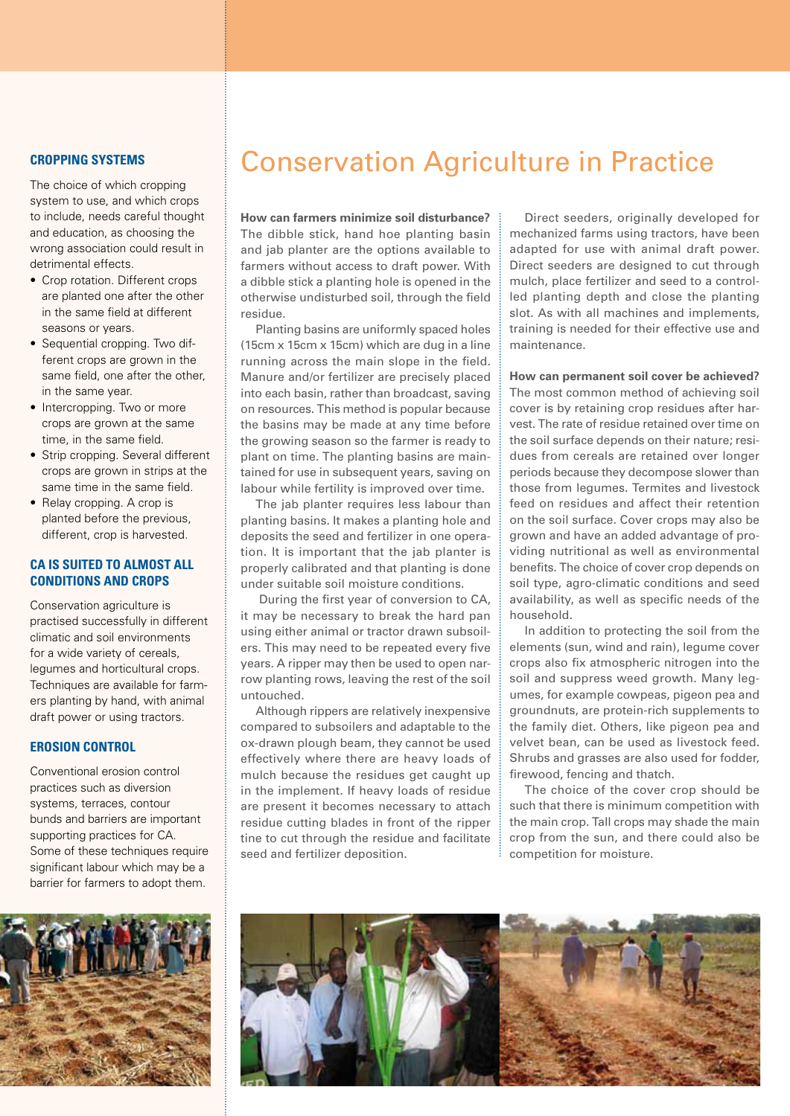The choice of which cropping system to use, and which crops to include, needs careful thought and education, as choosing the wrong association could result in detrimental effects.

- Crop rotation. Different crops are planted one after the other in the same field at different seasons or years.
- Sequential cropping. Two different crops are grown in the same field, one after the other, in the same year.
- Intercropping. Two or more crops are grown at the same time, in the same field.
- Strip cropping. Several different crops are grown in strips at the same time in the same field.
- Relay cropping. A crop is planted before the previous, different, crop is harvested.

### **CA is suited to almost all conditions and crops**

Conservation agriculture is practised successfully in different climatic and soil environments for a wide variety of cereals, legumes and horticultural crops. Techniques are available for farmers planting by hand, with animal draft power or using tractors.

# **Erosion control**

Conventional erosion control practices such as diversion systems, terraces, contour bunds and barriers are important supporting practices for CA. Some of these techniques require significant labour which may be a barrier for farmers to adopt them.



# **Cropping systems** Conservation Agriculture in Practice

**How can farmers minimize soil disturbance?** The dibble stick, hand hoe planting basin and jab planter are the options available to farmers without access to draft power. With a dibble stick a planting hole is opened in the otherwise undisturbed soil, through the field residue.

Planting basins are uniformly spaced holes (15cm x 15cm x 15cm) which are dug in a line running across the main slope in the field. Manure and/or fertilizer are precisely placed into each basin, rather than broadcast, saving on resources. This method is popular because the basins may be made at any time before the growing season so the farmer is ready to plant on time. The planting basins are maintained for use in subsequent years, saving on labour while fertility is improved over time.

The jab planter requires less labour than planting basins. It makes a planting hole and deposits the seed and fertilizer in one operation. It is important that the jab planter is properly calibrated and that planting is done under suitable soil moisture conditions.

 During the first year of conversion to CA, it may be necessary to break the hard pan using either animal or tractor drawn subsoilers. This may need to be repeated every five years. A ripper may then be used to open narrow planting rows, leaving the rest of the soil untouched.

Although rippers are relatively inexpensive compared to subsoilers and adaptable to the ox-drawn plough beam, they cannot be used effectively where there are heavy loads of mulch because the residues get caught up in the implement. If heavy loads of residue are present it becomes necessary to attach residue cutting blades in front of the ripper tine to cut through the residue and facilitate seed and fertilizer deposition.

Direct seeders, originally developed for mechanized farms using tractors, have been adapted for use with animal draft power. Direct seeders are designed to cut through mulch, place fertilizer and seed to a controlled planting depth and close the planting slot. As with all machines and implements, training is needed for their effective use and maintenance.

**How can permanent soil cover be achieved?** The most common method of achieving soil cover is by retaining crop residues after harvest. The rate of residue retained over time on the soil surface depends on their nature; residues from cereals are retained over longer periods because they decompose slower than those from legumes. Termites and livestock feed on residues and affect their retention on the soil surface. Cover crops may also be grown and have an added advantage of providing nutritional as well as environmental benefits. The choice of cover crop depends on soil type, agro-climatic conditions and seed availability, as well as specific needs of the household.

In addition to protecting the soil from the elements (sun, wind and rain), legume cover crops also fix atmospheric nitrogen into the soil and suppress weed growth. Many legumes, for example cowpeas, pigeon pea and groundnuts, are protein-rich supplements to the family diet. Others, like pigeon pea and velvet bean, can be used as livestock feed. Shrubs and grasses are also used for fodder, firewood, fencing and thatch.

The choice of the cover crop should be such that there is minimum competition with the main crop. Tall crops may shade the main crop from the sun, and there could also be competition for moisture.

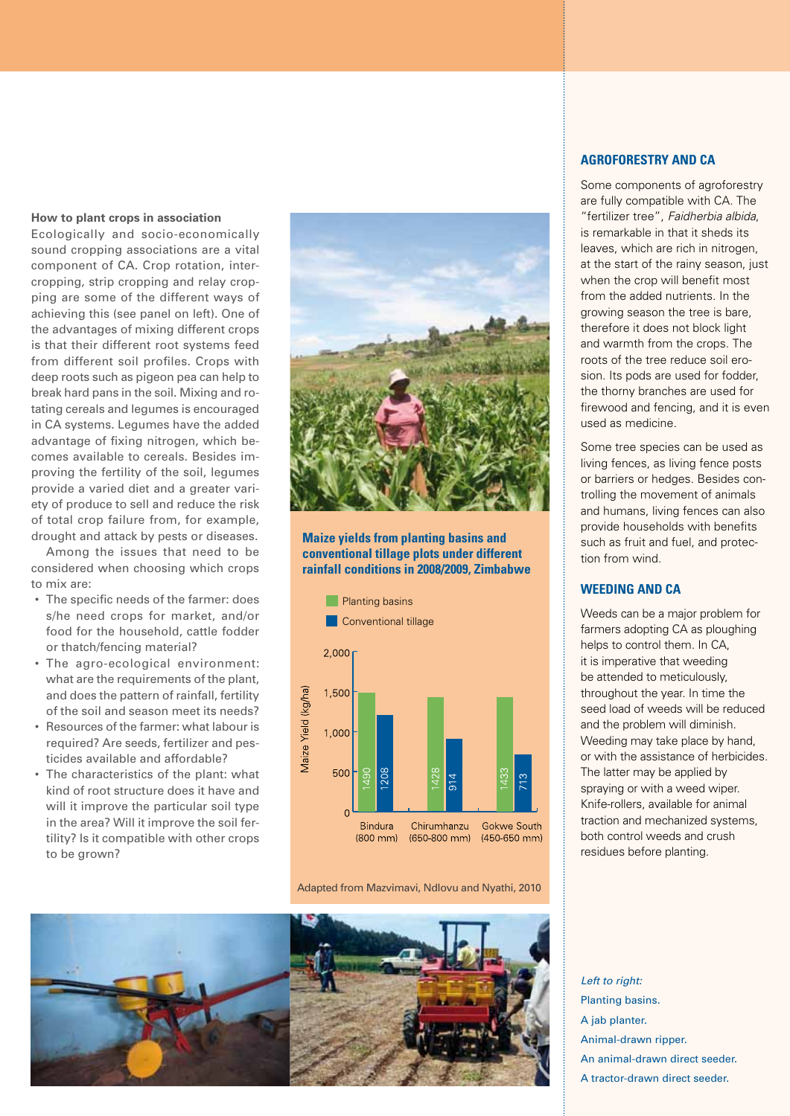#### **How to plant crops in association**

Ecologically and socio-economically sound cropping associations are a vital component of CA. Crop rotation, intercropping, strip cropping and relay cropping are some of the different ways of achieving this (see panel on left). One of the advantages of mixing different crops is that their different root systems feed from different soil profiles. Crops with deep roots such as pigeon pea can help to break hard pans in the soil. Mixing and rotating cereals and legumes is encouraged in CA systems. Legumes have the added advantage of fixing nitrogen, which becomes available to cereals. Besides improving the fertility of the soil, legumes provide a varied diet and a greater variety of produce to sell and reduce the risk of total crop failure from, for example, drought and attack by pests or diseases.

Among the issues that need to be considered when choosing which crops to mix are:

- The specific needs of the farmer: does s/he need crops for market, and/or food for the household, cattle fodder or thatch/fencing material?
- The agro-ecological environment: what are the requirements of the plant, and does the pattern of rainfall, fertility of the soil and season meet its needs?
- Resources of the farmer: what labour is required? Are seeds, fertilizer and pesticides available and affordable?
- The characteristics of the plant: what kind of root structure does it have and will it improve the particular soil type in the area? Will it improve the soil fertility? Is it compatible with other crops to be grown?



### **Maize yields from planting basins and conventional tillage plots under different rainfall conditions in 2008/2009, Zimbabwe**



Adapted from Mazvimavi, Ndlovu and Nyathi, 2010



# **Agroforestry and CA**

Some components of agroforestry are fully compatible with CA. The "fertilizer tree", *Faidherbia albida*, is remarkable in that it sheds its leaves, which are rich in nitrogen, at the start of the rainy season, just when the crop will benefit most from the added nutrients. In the growing season the tree is bare, therefore it does not block light and warmth from the crops. The roots of the tree reduce soil erosion. Its pods are used for fodder, the thorny branches are used for firewood and fencing, and it is even used as medicine.

Some tree species can be used as living fences, as living fence posts or barriers or hedges. Besides controlling the movement of animals and humans, living fences can also provide households with benefits such as fruit and fuel, and protection from wind.

# **Weeding and CA**

Weeds can be a major problem for farmers adopting CA as ploughing helps to control them. In CA, it is imperative that weeding be attended to meticulously, throughout the year. In time the seed load of weeds will be reduced and the problem will diminish. Weeding may take place by hand, or with the assistance of herbicides. The latter may be applied by spraying or with a weed wiper. Knife-rollers, available for animal traction and mechanized systems, both control weeds and crush residues before planting.

*Left to right:* Planting basins. A jab planter. Animal-drawn ripper. An animal-drawn direct seeder. A tractor-drawn direct seeder.